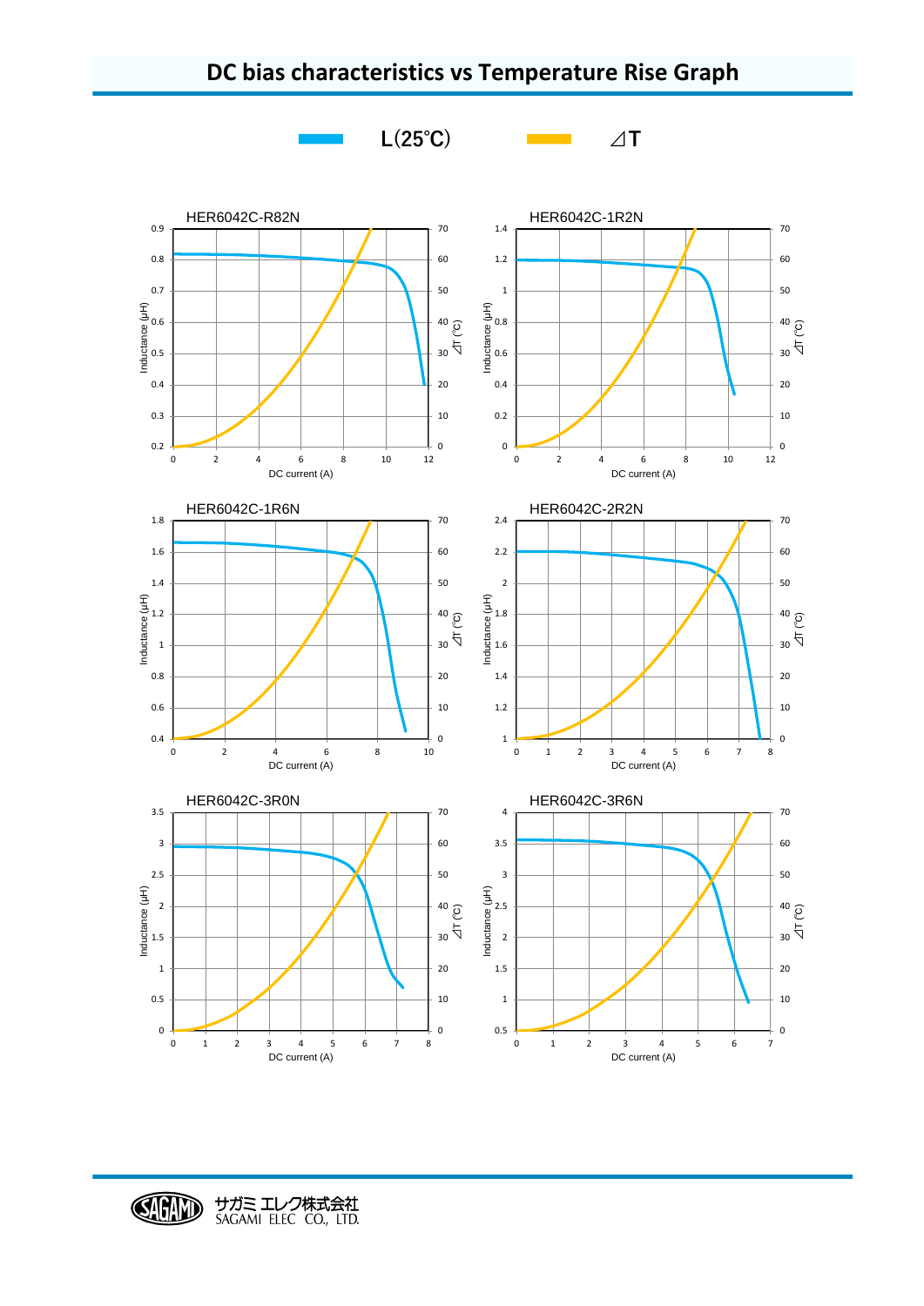



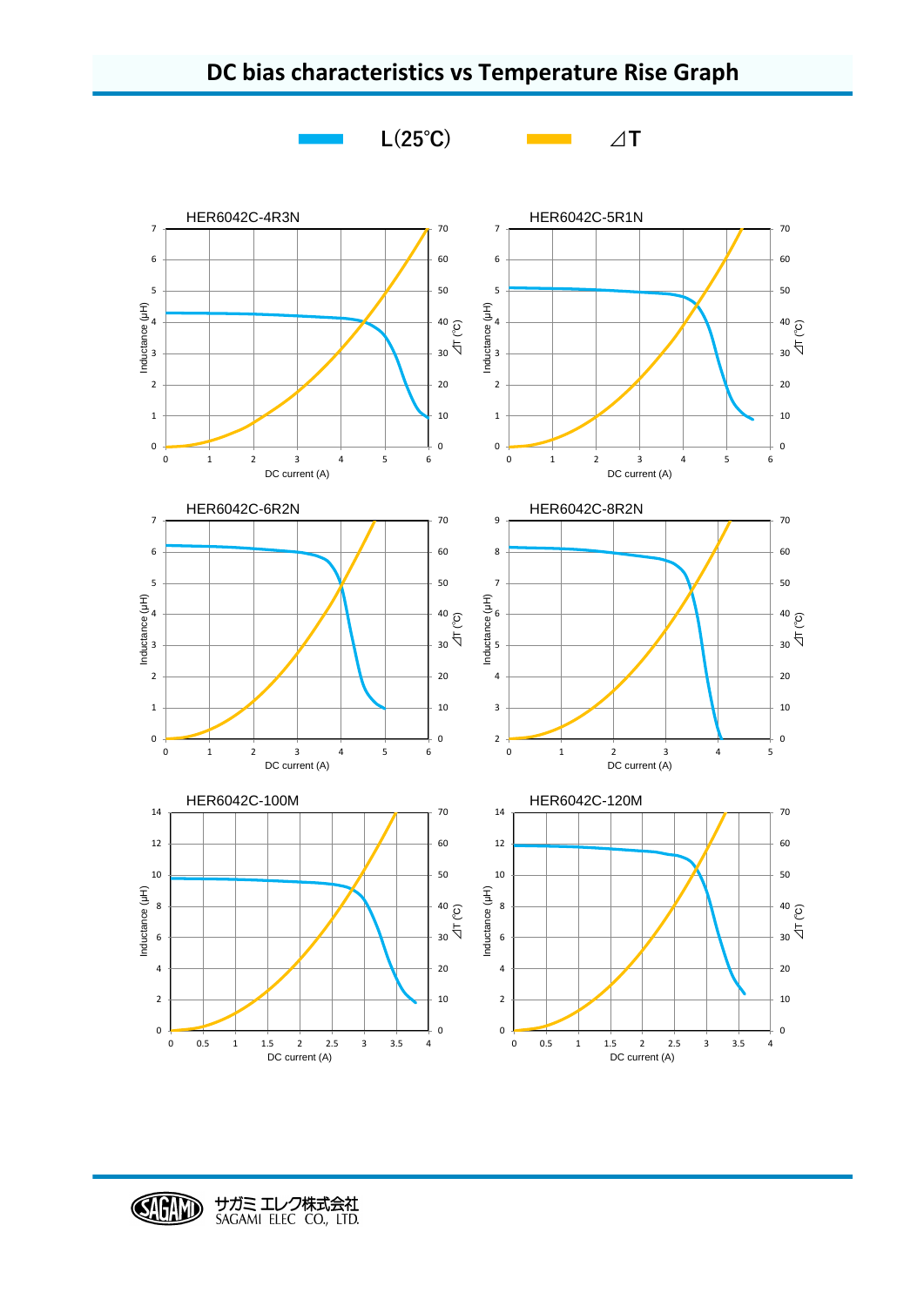

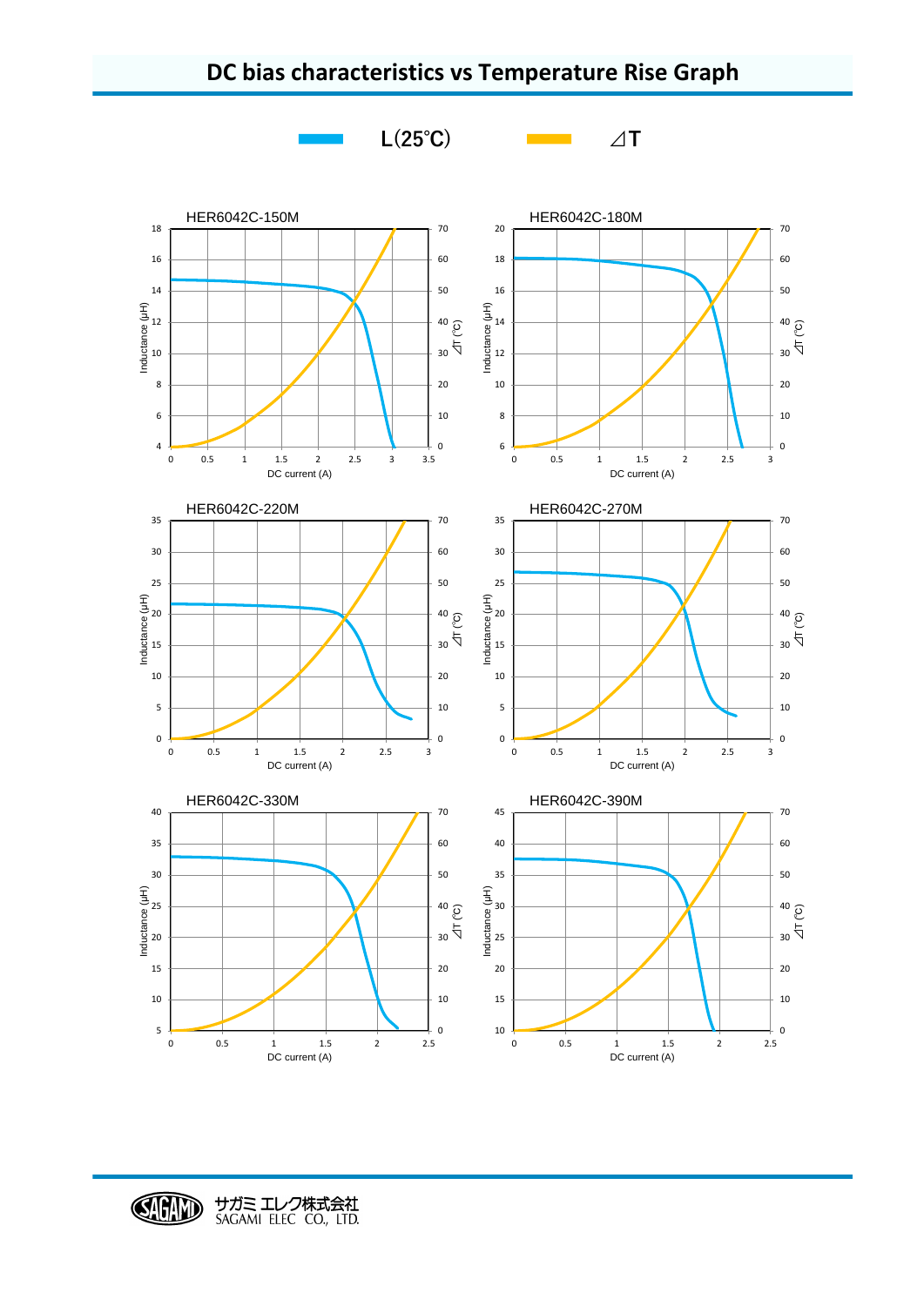



## **DC bias characteristics vs Temperature Rise Graph**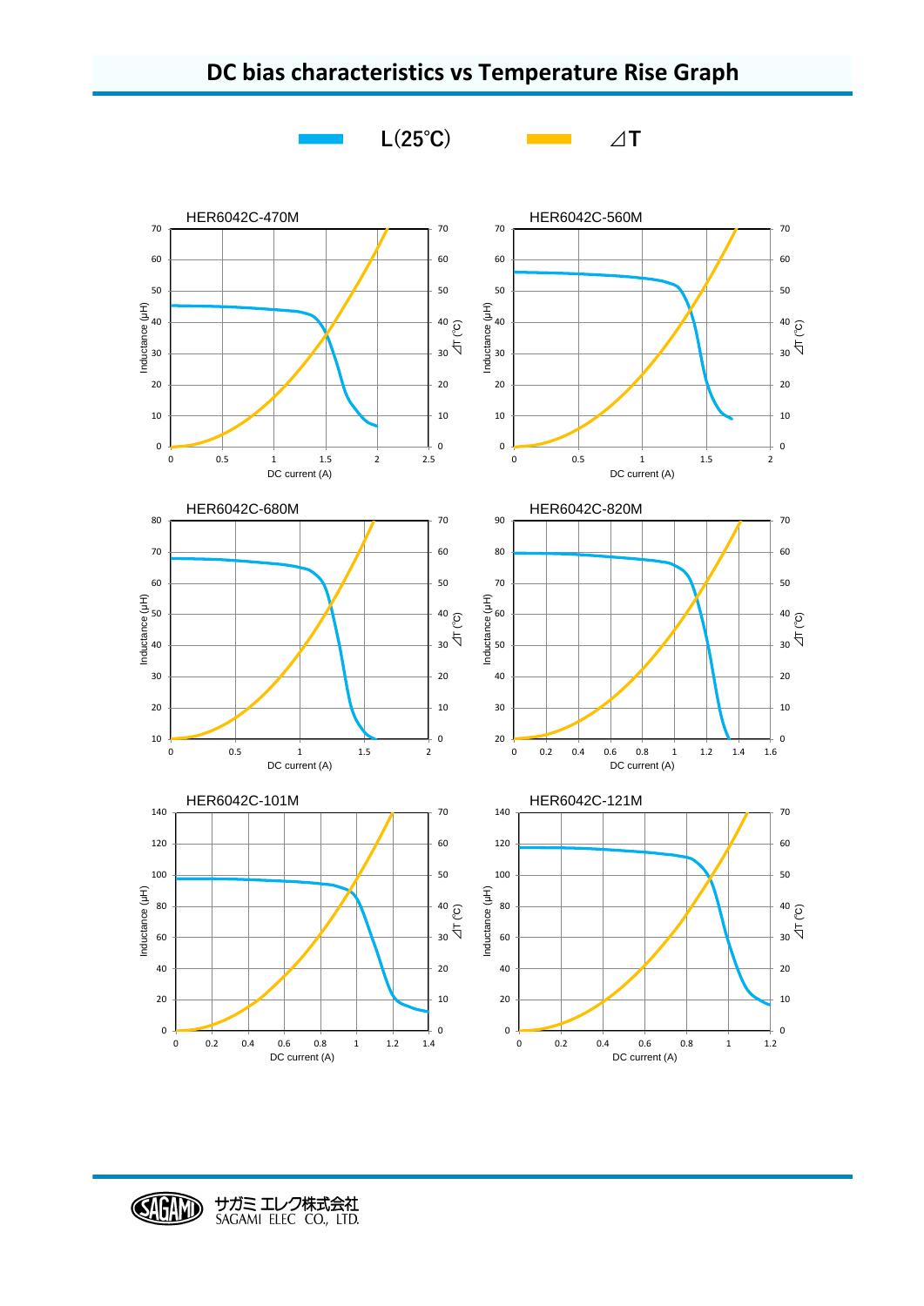



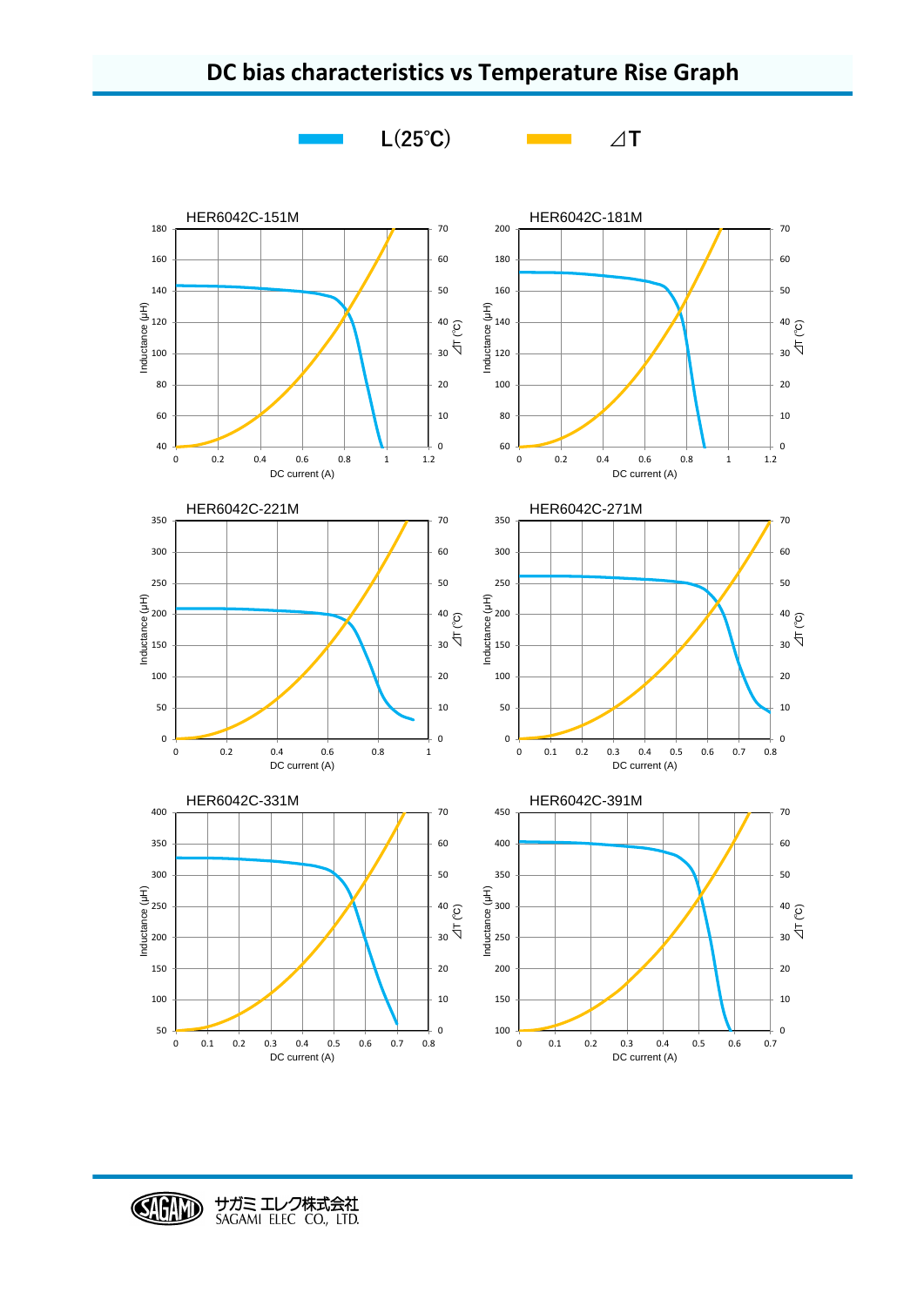